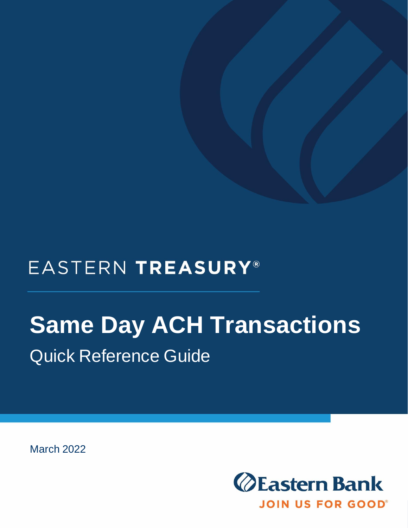## EASTERN TREASURY®

# **Same Day ACH Transactions** Quick Reference Guide

March 2022

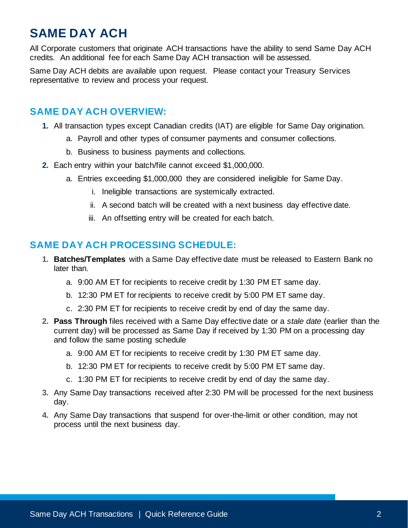### **SAME DAY ACH**

All Corporate customers that originate ACH transactions have the ability to send Same Day ACH credits. An additional fee for each Same Day ACH transaction will be assessed.

Same Day ACH debits are available upon request. Please contact your Treasury Services representative to review and process your request.

#### **SAME DAY ACH OVERVIEW:**

- **1.** All transaction types except Canadian credits (IAT) are eligible for Same Day origination.
	- a. Payroll and other types of consumer payments and consumer collections.
	- b. Business to business payments and collections.
- **2.** Each entry within your batch/file cannot exceed \$1,000,000.
	- a. Entries exceeding \$1,000,000 they are considered ineligible for Same Day.
		- i. Ineligible transactions are systemically extracted.
		- ii. A second batch will be created with a next business day effective date.
		- iii. An offsetting entry will be created for each batch.

#### **SAME DAY ACH PROCESSING SCHEDULE:**

- **1. Batches/Templates** with a Same Day effective date must be released to Eastern Bank no later than.
	- a. 9:00 AM ET for recipients to receive credit by 1:30 PM ET same day.
	- b. 12:30 PM ET for recipients to receive credit by 5:00 PM ET same day.
	- c. 2:30 PM ET for recipients to receive credit by end of day the same day.
- **2. Pass Through** files received with a Same Day effective date or a *stale date* (earlier than the current day) will be processed as Same Day if received by 1:30 PM on a processing day and follow the same posting schedule
	- a. 9:00 AM ET for recipients to receive credit by 1:30 PM ET same day.
	- b. 12:30 PM ET for recipients to receive credit by 5:00 PM ET same day.
	- c. 1:30 PM ET for recipients to receive credit by end of day the same day.
- **3.** Any Same Day transactions received after 2:30 PM will be processed for the next business day.
- **4.** Any Same Day transactions that suspend for over-the-limit or other condition, may not process until the next business day.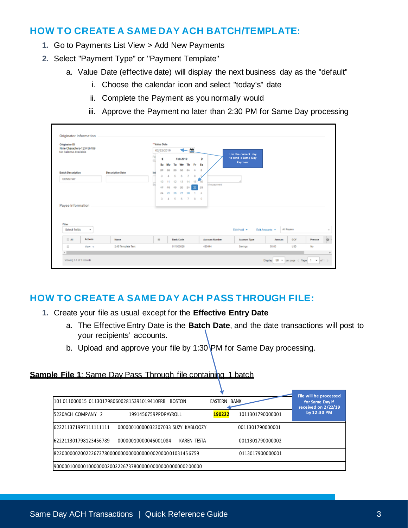#### **HOW TO CREATE A SAME DAY ACH BATCH/TEMPLATE:**

- **1.** Go to Payments List View > Add New Payments
- **2.** Select "Payment Type" or "Payment Template"
	- a. Value Date (effective date) will display the next business day as the "default"
		- i. Choose the calendar icon and select "today's" date
		- ii. Complete the Payment as you normally would
		- iii. Approve the Payment no later than 2:30 PM for Same Day processing

| <b>Originator ID</b>                              |                         |           | * Value Date |        |                  |           |                |          |                        |                                           |                     |              |               |            |         |  |
|---------------------------------------------------|-------------------------|-----------|--------------|--------|------------------|-----------|----------------|----------|------------------------|-------------------------------------------|---------------------|--------------|---------------|------------|---------|--|
| Nine Characters-123456789<br>No Balance Available |                         |           | 02/22/2019   |        | 籯                |           |                |          |                        |                                           |                     |              |               |            |         |  |
|                                                   |                         | Pal<br>ΩS | K            |        | Feb 2019         |           |                | ,        |                        | Use the current day<br>to send a Same Day |                     |              |               |            |         |  |
|                                                   |                         |           | Su           |        | Tu               | We        | Th             | Fr       | Sa                     |                                           | Payment             |              |               |            |         |  |
| <b>Batch Description</b>                          | <b>Descriptive Date</b> | Int       | 32           | $\Box$ | $\overline{a}$   | 20        | 34             | 4        | $\overline{a}$         |                                           |                     |              |               |            |         |  |
| <b>CONS PAY</b>                                   |                         |           |              |        |                  | A         | $\overline{z}$ | $\Omega$ |                        |                                           |                     |              |               |            |         |  |
|                                                   |                         | tui       | 40<br>42     |        | 49               | $-20$     |                | 15<br>22 | 16                     | the payment.                              |                     |              |               |            |         |  |
|                                                   |                         |           | 34           | 48     |                  | 27        | $-24$<br>28    | $\sim$   | $-22$<br>$\rightarrow$ |                                           |                     |              |               |            |         |  |
|                                                   |                         |           | a            | 4      | 5                | 6         | $\overline{7}$ | 8        | -9                     |                                           |                     |              |               |            |         |  |
|                                                   |                         |           |              |        |                  |           |                |          |                        |                                           |                     |              |               |            |         |  |
| Payee Information                                 |                         |           |              |        |                  |           |                |          |                        |                                           |                     |              |               |            |         |  |
|                                                   |                         |           |              |        |                  |           |                |          |                        |                                           |                     |              |               |            |         |  |
|                                                   |                         |           |              |        |                  |           |                |          |                        |                                           |                     |              |               |            |         |  |
| Filter                                            |                         |           |              |        |                  |           |                |          |                        |                                           |                     |              | All Payees    |            |         |  |
| Select fields<br>٠                                |                         |           |              |        |                  |           |                |          |                        |                                           | Edit Hold =         | Edit Amounts |               |            |         |  |
| Actions<br>$\Box$ All                             | Name                    |           | ID           |        | <b>Bank Code</b> |           |                |          |                        | <b>Account Number</b>                     | <b>Account Type</b> |              | <b>Amount</b> | CCY        | Prenote |  |
| $\qquad \qquad \Box$<br>View -                    | 2.45 Template Test      |           |              |        |                  | 011000028 |                |          |                        | 455444                                    | Savings             | 50.00        |               | <b>USD</b> | No      |  |
|                                                   |                         |           |              |        |                  |           |                |          |                        |                                           |                     |              |               |            |         |  |

#### **HOW TO CREATE A SAME DAY ACH PASS THROUGH FILE:**

- **1.** Create your file as usual except for the **Effective Entry Date**
	- a. The Effective Entry Date is the **Batch Date**, and the date transactions will post to your recipients' accounts.
	- b. Upload and approve your file by 1:30 PM for Same Day processing.

#### **Sample File 1:** Same Day Pass Through file containing 1 batch

| 101 011000015 01130179806002815391019410FRB             | File will be processed<br>for Same Day if<br>received on 2/22/19 |        |                  |             |  |  |
|---------------------------------------------------------|------------------------------------------------------------------|--------|------------------|-------------|--|--|
| 5220ACH COMPANY 2                                       | 1991456759PPDPAYROLL                                             | 190222 | 1011301790000001 | by 12:30 PM |  |  |
| 6222113719971111111111                                  | 00000010000032307033 SUZY KABLOOZY                               |        | 0011301790000001 |             |  |  |
| 622211301798123456789                                   | 00000010000046001084<br><b>KAREN TESTA</b>                       |        | 0011301790000002 |             |  |  |
| 8220000002002226737800000000000000000000000001031456759 |                                                                  |        |                  |             |  |  |
|                                                         | 190000010000010000000200222673780000000000000000000200000        |        |                  |             |  |  |